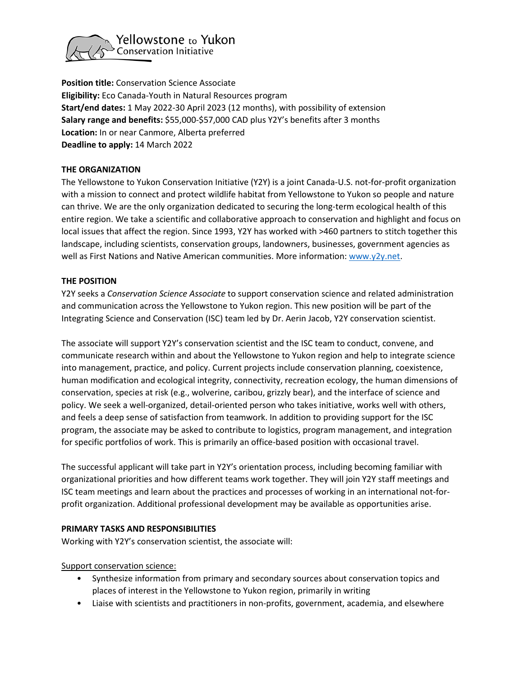

**Position title:** Conservation Science Associate **Eligibility:** Eco Canada-Youth in Natural Resources program **Start/end dates:** 1 May 2022-30 April 2023 (12 months), with possibility of extension **Salary range and benefits:** \$55,000-\$57,000 CAD plus Y2Y's benefits after 3 months **Location:** In or near Canmore, Alberta preferred **Deadline to apply:** 14 March 2022

# **THE ORGANIZATION**

The Yellowstone to Yukon Conservation Initiative (Y2Y) is a joint Canada-U.S. not-for-profit organization with a mission to connect and protect wildlife habitat from Yellowstone to Yukon so people and nature can thrive. We are the only organization dedicated to securing the long-term ecological health of this entire region. We take a scientific and collaborative approach to conservation and highlight and focus on local issues that affect the region. Since 1993, Y2Y has worked with >460 partners to stitch together this landscape, including scientists, conservation groups, landowners, businesses, government agencies as well as First Nations and Native American communities. More information[: www.y2y.net.](http://www.y2y.net/)

# **THE POSITION**

Y2Y seeks a *Conservation Science Associate* to support conservation science and related administration and communication across the Yellowstone to Yukon region. This new position will be part of the Integrating Science and Conservation (ISC) team led by Dr. Aerin Jacob, Y2Y conservation scientist.

The associate will support Y2Y's conservation scientist and the ISC team to conduct, convene, and communicate research within and about the Yellowstone to Yukon region and help to integrate science into management, practice, and policy. Current projects include conservation planning, coexistence, human modification and ecological integrity, connectivity, recreation ecology, the human dimensions of conservation, species at risk (e.g., wolverine, caribou, grizzly bear), and the interface of science and policy. We seek a well-organized, detail-oriented person who takes initiative, works well with others, and feels a deep sense of satisfaction from teamwork. In addition to providing support for the ISC program, the associate may be asked to contribute to logistics, program management, and integration for specific portfolios of work. This is primarily an office-based position with occasional travel.

The successful applicant will take part in Y2Y's orientation process, including becoming familiar with organizational priorities and how different teams work together. They will join Y2Y staff meetings and ISC team meetings and learn about the practices and processes of working in an international not-forprofit organization. Additional professional development may be available as opportunities arise.

# **PRIMARY TASKS AND RESPONSIBILITIES**

Working with Y2Y's conservation scientist, the associate will:

Support conservation science:

- Synthesize information from primary and secondary sources about conservation topics and places of interest in the Yellowstone to Yukon region, primarily in writing
- Liaise with scientists and practitioners in non-profits, government, academia, and elsewhere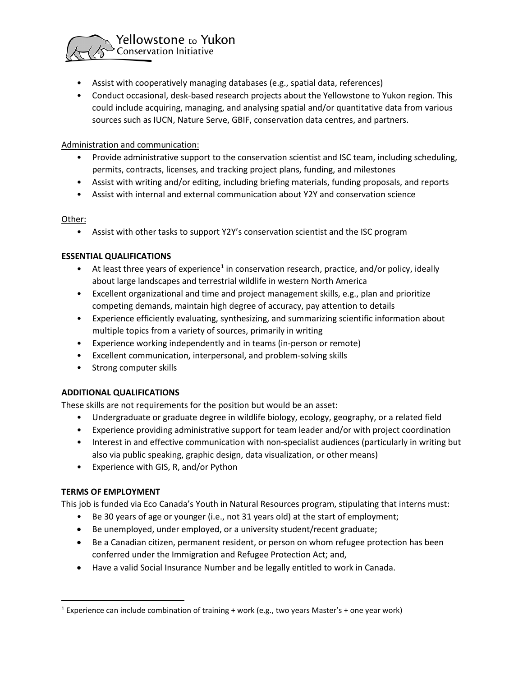

- Assist with cooperatively managing databases (e.g., spatial data, references)
- Conduct occasional, desk-based research projects about the Yellowstone to Yukon region. This could include acquiring, managing, and analysing spatial and/or quantitative data from various sources such as IUCN, Nature Serve, GBIF, conservation data centres, and partners.

#### Administration and communication:

- Provide administrative support to the conservation scientist and ISC team, including scheduling, permits, contracts, licenses, and tracking project plans, funding, and milestones
- Assist with writing and/or editing, including briefing materials, funding proposals, and reports
- Assist with internal and external communication about Y2Y and conservation science

#### Other:

• Assist with other tasks to support Y2Y's conservation scientist and the ISC program

#### **ESSENTIAL QUALIFICATIONS**

- At least three years of experience<sup>[1](#page-1-0)</sup> in conservation research, practice, and/or policy, ideally about large landscapes and terrestrial wildlife in western North America
- Excellent organizational and time and project management skills, e.g., plan and prioritize competing demands, maintain high degree of accuracy, pay attention to details
- Experience efficiently evaluating, synthesizing, and summarizing scientific information about multiple topics from a variety of sources, primarily in writing
- Experience working independently and in teams (in-person or remote)
- Excellent communication, interpersonal, and problem-solving skills
- Strong computer skills

### **ADDITIONAL QUALIFICATIONS**

These skills are not requirements for the position but would be an asset:

- Undergraduate or graduate degree in wildlife biology, ecology, geography, or a related field
- Experience providing administrative support for team leader and/or with project coordination
- Interest in and effective communication with non-specialist audiences (particularly in writing but also via public speaking, graphic design, data visualization, or other means)
- Experience with GIS, R, and/or Python

### **TERMS OF EMPLOYMENT**

This job is funded via Eco Canada's Youth in Natural Resources program, stipulating that interns must:

- Be 30 years of age or younger (i.e., not 31 years old) at the start of employment;
- Be unemployed, under employed, or a university student/recent graduate;
- Be a Canadian citizen, permanent resident, or person on whom refugee protection has been conferred under the Immigration and Refugee Protection Act; and,
- Have a valid Social Insurance Number and be legally entitled to work in Canada.

<span id="page-1-0"></span><sup>&</sup>lt;sup>1</sup> Experience can include combination of training + work (e.g., two years Master's + one year work)